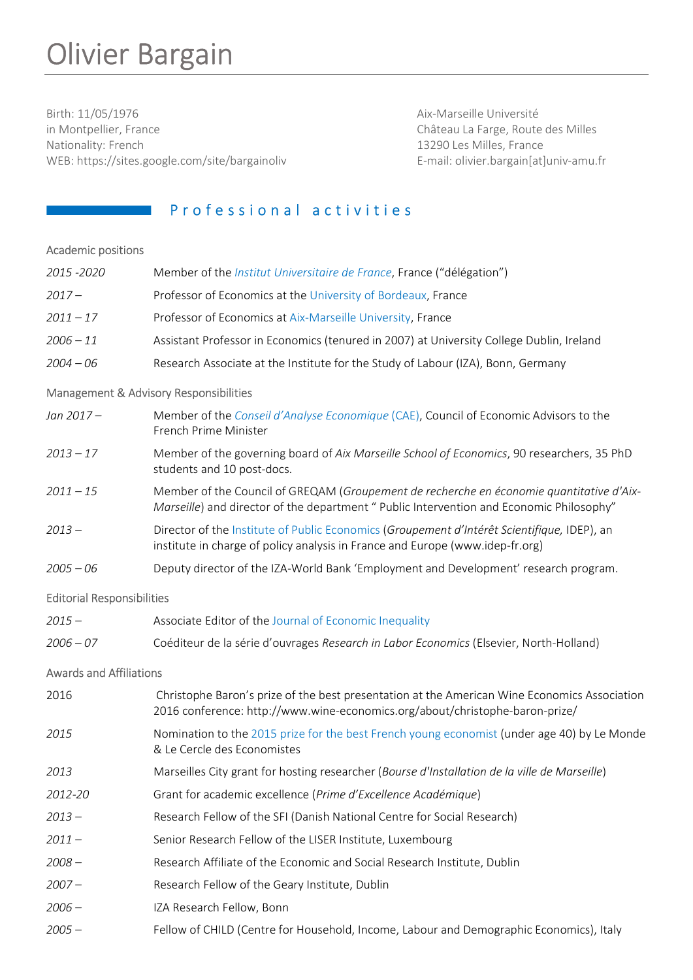# Olivier Bargain

Birth: 11/05/1976 Aix-Marseille Université in Montpellier, France **Channel Exercise Exercise 2** Château La Farge, Route des Milles Nationality: French 13290 Les Milles, France WEB: https://sites.google.com/site/bargainoliv entitled by the mail: olivier.bargain[at]univ-amu.fr

# **Professional activities**

## Academic positions

| 2015 - 2020                       | Member of the <i>Institut Universitaire de France</i> , France ("délégation")                                                                                                        |
|-----------------------------------|--------------------------------------------------------------------------------------------------------------------------------------------------------------------------------------|
| $2017 -$                          | Professor of Economics at the University of Bordeaux, France                                                                                                                         |
| $2011 - 17$                       | Professor of Economics at Aix-Marseille University, France                                                                                                                           |
| $2006 - 11$                       | Assistant Professor in Economics (tenured in 2007) at University College Dublin, Ireland                                                                                             |
| $2004 - 06$                       | Research Associate at the Institute for the Study of Labour (IZA), Bonn, Germany                                                                                                     |
|                                   | Management & Advisory Responsibilities                                                                                                                                               |
| Jan 2017-                         | Member of the Conseil d'Analyse Economique (CAE), Council of Economic Advisors to the<br>French Prime Minister                                                                       |
| $2013 - 17$                       | Member of the governing board of Aix Marseille School of Economics, 90 researchers, 35 PhD<br>students and 10 post-docs.                                                             |
| $2011 - 15$                       | Member of the Council of GREQAM (Groupement de recherche en économie quantitative d'Aix-<br>Marseille) and director of the department " Public Intervention and Economic Philosophy" |
| $2013 -$                          | Director of the Institute of Public Economics (Groupement d'Intérêt Scientifique, IDEP), an<br>institute in charge of policy analysis in France and Europe (www.idep-fr.org)         |
| $2005 - 06$                       | Deputy director of the IZA-World Bank 'Employment and Development' research program.                                                                                                 |
| <b>Editorial Responsibilities</b> |                                                                                                                                                                                      |
| $2015 -$                          | Associate Editor of the Journal of Economic Inequality                                                                                                                               |
| $2006 - 07$                       | Coéditeur de la série d'ouvrages Research in Labor Economics (Elsevier, North-Holland)                                                                                               |
| <b>Awards and Affiliations</b>    |                                                                                                                                                                                      |
| 2016                              | Christophe Baron's prize of the best presentation at the American Wine Economics Association<br>2016 conference: http://www.wine-economics.org/about/christophe-baron-prize/         |
| 2015                              | Nomination to the 2015 prize for the best French young economist (under age 40) by Le Monde<br>& Le Cercle des Economistes                                                           |
| 2013                              | Marseilles City grant for hosting researcher (Bourse d'Installation de la ville de Marseille)                                                                                        |
| 2012-20                           | Grant for academic excellence (Prime d'Excellence Académique)                                                                                                                        |
| $2013 -$                          | Research Fellow of the SFI (Danish National Centre for Social Research)                                                                                                              |
| $2011 -$                          | Senior Research Fellow of the LISER Institute, Luxembourg                                                                                                                            |
| $2008 -$                          | Research Affiliate of the Economic and Social Research Institute, Dublin                                                                                                             |
| $2007 -$                          | Research Fellow of the Geary Institute, Dublin                                                                                                                                       |
| $2006 -$                          | IZA Research Fellow, Bonn                                                                                                                                                            |
| $2005 -$                          | Fellow of CHILD (Centre for Household, Income, Labour and Demographic Economics), Italy                                                                                              |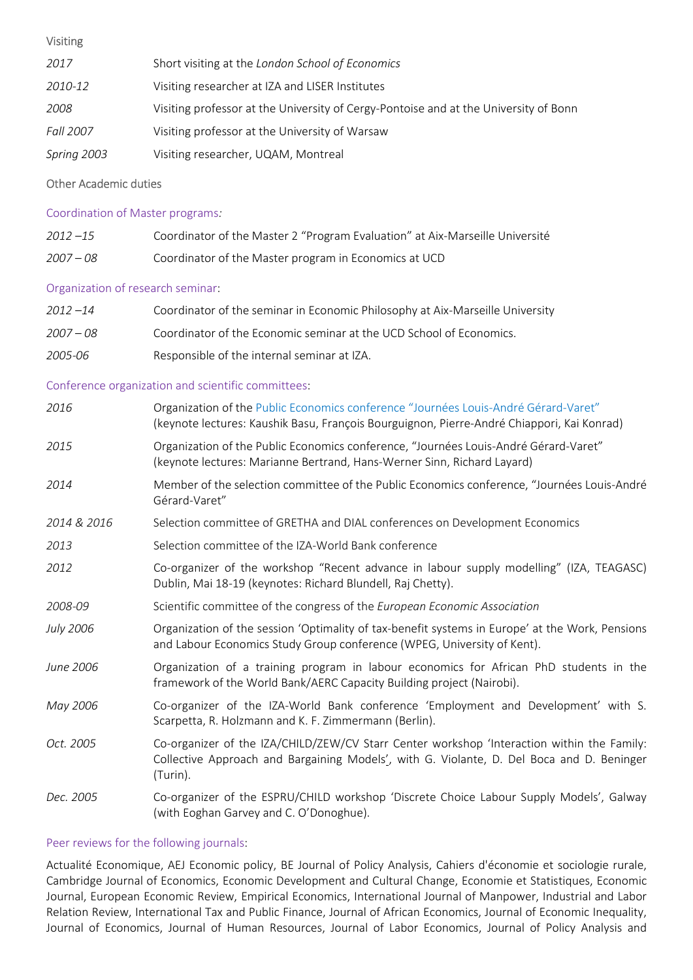## Visiting

| 2017        | Short visiting at the London School of Economics                                     |
|-------------|--------------------------------------------------------------------------------------|
| 2010-12     | Visiting researcher at IZA and LISER Institutes                                      |
| 2008        | Visiting professor at the University of Cergy-Pontoise and at the University of Bonn |
| Fall 2007   | Visiting professor at the University of Warsaw                                       |
| Spring 2003 | Visiting researcher, UQAM, Montreal                                                  |

## Other Academic duties

## Coordination of Master programs:

| $2012 - 15$ | Coordinator of the Master 2 "Program Evaluation" at Aix-Marseille Université |
|-------------|------------------------------------------------------------------------------|
| $2007 - 08$ | Coordinator of the Master program in Economics at UCD                        |

## Organization of research seminar:

| $2012 - 14$ | Coordinator of the seminar in Economic Philosophy at Aix-Marseille University                                                                                                                       |
|-------------|-----------------------------------------------------------------------------------------------------------------------------------------------------------------------------------------------------|
| $2007 - 08$ | Coordinator of the Economic seminar at the UCD School of Economics.                                                                                                                                 |
| 2005-06     | Responsible of the internal seminar at IZA.                                                                                                                                                         |
|             | Conference organization and scientific committees:                                                                                                                                                  |
| 2016        | Organization of the Public Economics conference "Journées Louis-André Gérard-Varet"<br>(keynote lectures: Kaushik Basu, François Bourguignon, Pierre-André Chiappori, Kai Konrad)                   |
| 2015        | Organization of the Public Economics conference, "Journées Louis-André Gérard-Varet"<br>(keynote lectures: Marianne Bertrand, Hans-Werner Sinn, Richard Layard)                                     |
| 2014        | Member of the selection committee of the Public Economics conference, "Journées Louis-André<br>Gérard-Varet"                                                                                        |
| 2014 & 2016 | Selection committee of GRETHA and DIAL conferences on Development Economics                                                                                                                         |
| 2013        | Selection committee of the IZA-World Bank conference                                                                                                                                                |
| 2012        | Co-organizer of the workshop "Recent advance in labour supply modelling" (IZA, TEAGASC)<br>Dublin, Mai 18-19 (keynotes: Richard Blundell, Raj Chetty).                                              |
| 2008-09     | Scientific committee of the congress of the European Economic Association                                                                                                                           |
| July 2006   | Organization of the session 'Optimality of tax-benefit systems in Europe' at the Work, Pensions<br>and Labour Economics Study Group conference (WPEG, University of Kent).                          |
| June 2006   | Organization of a training program in labour economics for African PhD students in the<br>framework of the World Bank/AERC Capacity Building project (Nairobi).                                     |
| May 2006    | Co-organizer of the IZA-World Bank conference 'Employment and Development' with S.<br>Scarpetta, R. Holzmann and K. F. Zimmermann (Berlin).                                                         |
| Oct. 2005   | Co-organizer of the IZA/CHILD/ZEW/CV Starr Center workshop 'Interaction within the Family:<br>Collective Approach and Bargaining Models', with G. Violante, D. Del Boca and D. Beninger<br>(Turin). |
| Dec. 2005   | Co-organizer of the ESPRU/CHILD workshop 'Discrete Choice Labour Supply Models', Galway<br>(with Eoghan Garvey and C. O'Donoghue).                                                                  |

## Peer reviews for the following journals:

Actualité Economique, AEJ Economic policy, BE Journal of Policy Analysis, Cahiers d'économie et sociologie rurale, Cambridge Journal of Economics, Economic Development and Cultural Change, Economie et Statistiques, Economic Journal, European Economic Review, Empirical Economics, International Journal of Manpower, Industrial and Labor Relation Review, International Tax and Public Finance, Journal of African Economics, Journal of Economic Inequality, Journal of Economics, Journal of Human Resources, Journal of Labor Economics, Journal of Policy Analysis and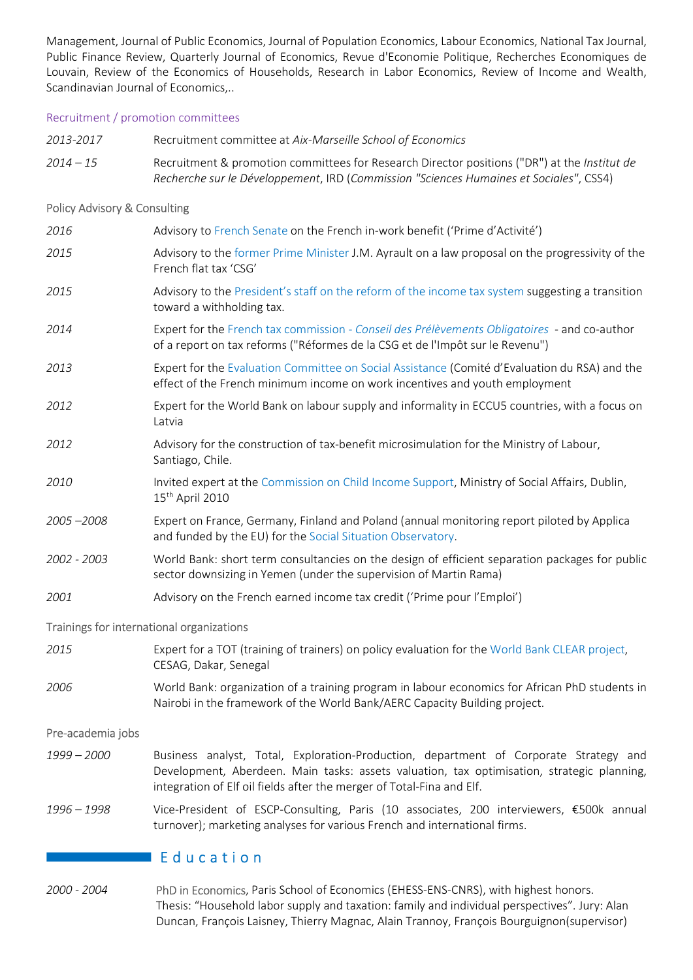Management, Journal of Public Economics, Journal of Population Economics, Labour Economics, National Tax Journal, Public Finance Review, Quarterly Journal of Economics, Revue d'Economie Politique, Recherches Economiques de Louvain, Review of the Economics of Households, Research in Labor Economics, Review of Income and Wealth, Scandinavian Journal of Economics,..

2013-2017 Recruitment committee at Aix-Marseille School of Economics

## Recruitment / promotion committees

 $2014 - 15$  Recruitment & promotion committees for Research Director positions ("DR") at the Institut de Recherche sur le Développement, IRD (Commission "Sciences Humaines et Sociales", CSS4) Policy Advisory & Consulting 2016 Advisory to French Senate on the French in-work benefit ('Prime d'Activité') 2015 Advisory to the former Prime Minister J.M. Ayrault on a law proposal on the progressivity of the French flat tax 'CSG' 2015 Advisory to the President's staff on the reform of the income tax system suggesting a transition toward a withholding tax. 2014 Expert for the French tax commission - Conseil des Prélèvements Obligatoires - and co-author of a report on tax reforms ("Réformes de la CSG et de l'Impôt sur le Revenu") 2013 Expert for the Evaluation Committee on Social Assistance (Comité d'Evaluation du RSA) and the effect of the French minimum income on work incentives and youth employment 2012 Expert for the World Bank on labour supply and informality in ECCU5 countries, with a focus on Latvia 2012 Advisory for the construction of tax-benefit microsimulation for the Ministry of Labour, Santiago, Chile. 2010 Invited expert at the Commission on Child Income Support, Ministry of Social Affairs, Dublin, 15th April 2010 2005 –2008 Expert on France, Germany, Finland and Poland (annual monitoring report piloted by Applica and funded by the EU) for the Social Situation Observatory. 2002 - 2003 World Bank: short term consultancies on the design of efficient separation packages for public sector downsizing in Yemen (under the supervision of Martin Rama) 2001 Advisory on the French earned income tax credit ('Prime pour l'Emploi') Trainings for international organizations 2015 Expert for a TOT (training of trainers) on policy evaluation for the World Bank CLEAR project, CESAG, Dakar, Senegal 2006 World Bank: organization of a training program in labour economics for African PhD students in Nairobi in the framework of the World Bank/AERC Capacity Building project. Pre-academia jobs 1999 – 2000 Business analyst, Total, Exploration-Production, department of Corporate Strategy and Development, Aberdeen. Main tasks: assets valuation, tax optimisation, strategic planning, integration of Elf oil fields after the merger of Total-Fina and Elf. 1996 – 1998 Vice-President of ESCP-Consulting, Paris (10 associates, 200 interviewers, €500k annual turnover); marketing analyses for various French and international firms.

# $\blacksquare$  Education

2000 - 2004 PhD in Economics, Paris School of Economics (EHESS-ENS-CNRS), with highest honors. Thesis: "Household labor supply and taxation: family and individual perspectives". Jury: Alan Duncan, François Laisney, Thierry Magnac, Alain Trannoy, François Bourguignon(supervisor)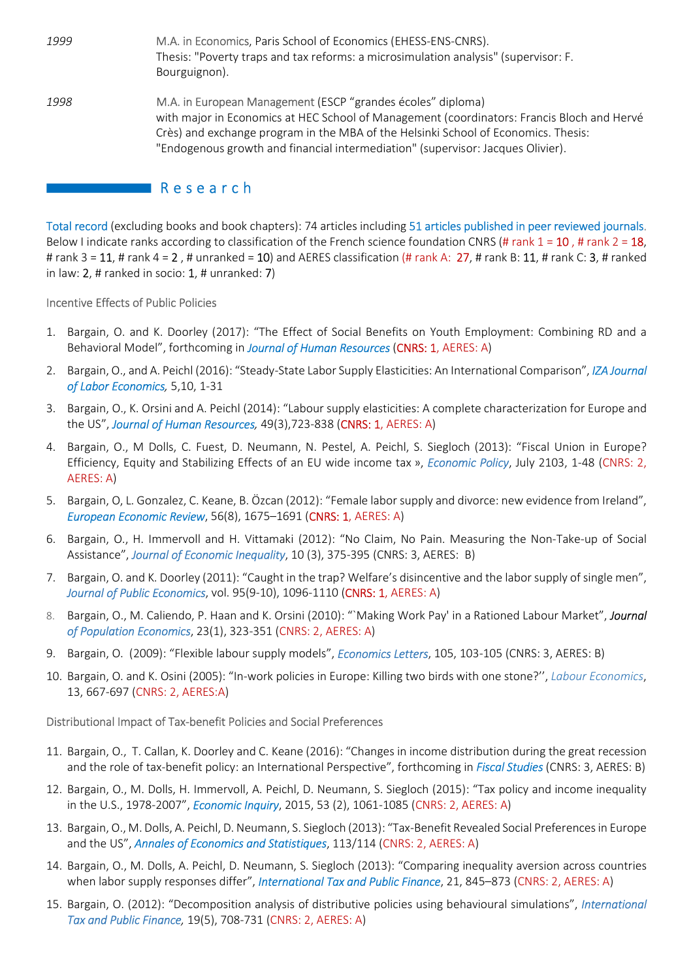| 1999 | M.A. in Economics, Paris School of Economics (EHESS-ENS-CNRS).<br>Thesis: "Poverty traps and tax reforms: a microsimulation analysis" (supervisor: F.<br>Bourguignon).                                                                                                                                                             |
|------|------------------------------------------------------------------------------------------------------------------------------------------------------------------------------------------------------------------------------------------------------------------------------------------------------------------------------------|
| 1998 | M.A. in European Management (ESCP "grandes écoles" diploma)<br>with major in Economics at HEC School of Management (coordinators: Francis Bloch and Hervé<br>Crès) and exchange program in the MBA of the Helsinki School of Economics. Thesis:<br>"Endogenous growth and financial intermediation" (supervisor: Jacques Olivier). |

# $\blacksquare$  Research

Total record (excluding books and book chapters): 74 articles including 51 articles published in peer reviewed journals. Below I indicate ranks according to classification of the French science foundation CNRS (# rank  $1 = 10$ , # rank  $2 = 18$ , # rank 3 = 11, # rank 4 = 2, # unranked = 10) and AERES classification (# rank A: 27, # rank B: 11, # rank C: 3, # ranked in law:  $2$ , # ranked in socio:  $1$ , # unranked: 7)

## Incentive Effects of Public Policies

- 1. Bargain, O. and K. Doorley (2017): "The Effect of Social Benefits on Youth Employment: Combining RD and a Behavioral Model", forthcoming in Journal of Human Resources (CNRS: 1, AERES: A)
- 2. Bargain, O., and A. Peichl (2016): "Steady-State Labor Supply Elasticities: An International Comparison", IZA Journal of Labor Economics, 5,10, 1-31
- 3. Bargain, O., K. Orsini and A. Peichl (2014): "Labour supply elasticities: A complete characterization for Europe and the US", Journal of Human Resources, 49(3), 723-838 (CNRS: 1, AERES: A)
- 4. Bargain, O., M Dolls, C. Fuest, D. Neumann, N. Pestel, A. Peichl, S. Siegloch (2013): "Fiscal Union in Europe? Efficiency, Equity and Stabilizing Effects of an EU wide income tax », Economic Policy, July 2103, 1-48 (CNRS: 2, AERES: A)
- 5. Bargain, O, L. Gonzalez, C. Keane, B. Özcan (2012): "Female labor supply and divorce: new evidence from Ireland", European Economic Review, 56(8), 1675–1691 (CNRS: 1, AERES: A)
- 6. Bargain, O., H. Immervoll and H. Vittamaki (2012): "No Claim, No Pain. Measuring the Non-Take-up of Social Assistance", Journal of Economic Inequality, 10 (3), 375-395 (CNRS: 3, AERES: B)
- 7. Bargain, O. and K. Doorley (2011): "Caught in the trap? Welfare's disincentive and the labor supply of single men", Journal of Public Economics, vol. 95(9-10), 1096-1110 (CNRS: 1, AERES: A)
- 8. Bargain, O., M. Caliendo, P. Haan and K. Orsini (2010): "`Making Work Pay' in a Rationed Labour Market", Journal of Population Economics, 23(1), 323-351 (CNRS: 2, AERES: A)
- 9. Bargain, O. (2009): "Flexible labour supply models", *Economics Letters*, 105, 103-105 (CNRS: 3, AERES: B)
- 10. Bargain, O. and K. Osini (2005): "In-work policies in Europe: Killing two birds with one stone?'', Labour Economics, 13, 667-697 (CNRS: 2, AERES:A)

## Distributional Impact of Tax-benefit Policies and Social Preferences

- 11. Bargain, O., T. Callan, K. Doorley and C. Keane (2016): "Changes in income distribution during the great recession and the role of tax-benefit policy: an International Perspective", forthcoming in *Fiscal Studies* (CNRS: 3, AERES: B)
- 12. Bargain, O., M. Dolls, H. Immervoll, A. Peichl, D. Neumann, S. Siegloch (2015): "Tax policy and income inequality in the U.S., 1978-2007", *Economic Inquiry*, 2015, 53 (2), 1061-1085 (CNRS: 2, AERES: A)
- 13. Bargain, O., M. Dolls, A. Peichl, D. Neumann, S. Siegloch (2013): "Tax-Benefit Revealed Social Preferences in Europe and the US", Annales of Economics and Statistiques, 113/114 (CNRS: 2, AERES: A)
- 14. Bargain, O., M. Dolls, A. Peichl, D. Neumann, S. Siegloch (2013): "Comparing inequality aversion across countries when labor supply responses differ", International Tax and Public Finance, 21, 845–873 (CNRS: 2, AERES: A)
- 15. Bargain, O. (2012): "Decomposition analysis of distributive policies using behavioural simulations", International Tax and Public Finance, 19(5), 708-731 (CNRS: 2, AERES: A)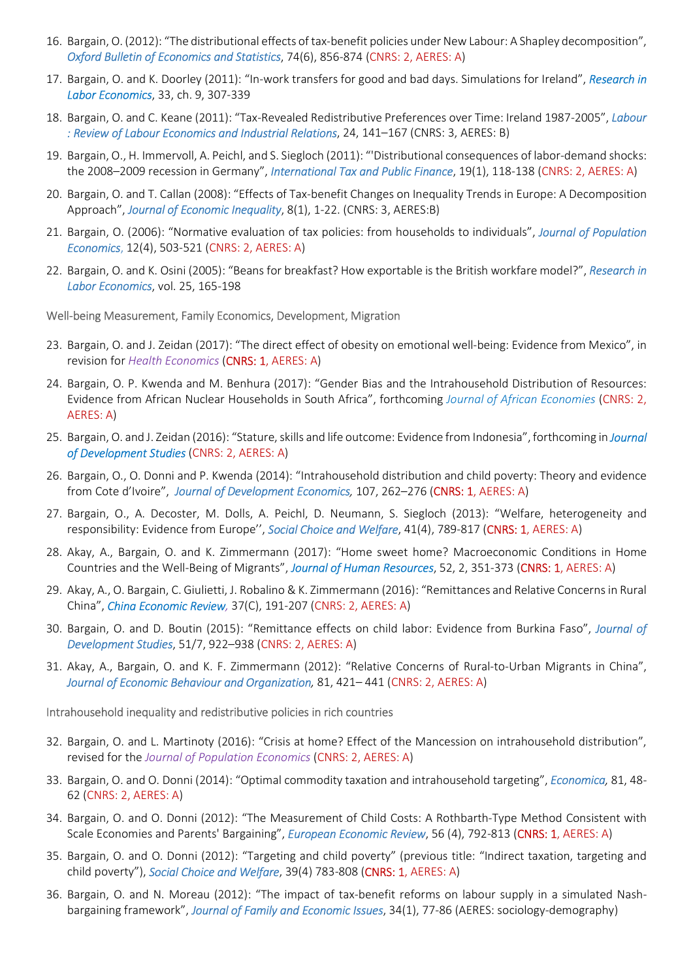- 16. Bargain, O. (2012): "The distributional effects of tax-benefit policies under New Labour: A Shapley decomposition", Oxford Bulletin of Economics and Statistics, 74(6), 856-874 (CNRS: 2, AERES: A)
- 17. Bargain, O. and K. Doorley (2011): "In-work transfers for good and bad days. Simulations for Ireland", Research in Labor Economics, 33, ch. 9, 307-339
- 18. Bargain, O. and C. Keane (2011): "Tax-Revealed Redistributive Preferences over Time: Ireland 1987-2005", Labour : Review of Labour Economics and Industrial Relations, 24, 141–167 (CNRS: 3, AERES: B)
- 19. Bargain, O., H. Immervoll, A. Peichl, and S. Siegloch (2011): "'Distributional consequences of labor-demand shocks: the 2008-2009 recession in Germany", International Tax and Public Finance, 19(1), 118-138 (CNRS: 2, AERES: A)
- 20. Bargain, O. and T. Callan (2008): "Effects of Tax-benefit Changes on Inequality Trends in Europe: A Decomposition Approach", Journal of Economic Inequality, 8(1), 1-22. (CNRS: 3, AERES:B)
- 21. Bargain, O. (2006): "Normative evaluation of tax policies: from households to individuals", Journal of Population Economics, 12(4), 503-521 (CNRS: 2, AERES: A)
- 22. Bargain, O. and K. Osini (2005): "Beans for breakfast? How exportable is the British workfare model?", Research in Labor Economics, vol. 25, 165-198

#### Well-being Measurement, Family Economics, Development, Migration

- 23. Bargain, O. and J. Zeidan (2017): "The direct effect of obesity on emotional well-being: Evidence from Mexico", in revision for Health Economics (CNRS: 1, AERES: A)
- 24. Bargain, O. P. Kwenda and M. Benhura (2017): "Gender Bias and the Intrahousehold Distribution of Resources: Evidence from African Nuclear Households in South Africa", forthcoming Journal of African Economies (CNRS: 2, AERES: A)
- 25. Bargain, O. and J. Zeidan (2016): "Stature, skills and life outcome: Evidence from Indonesia", forthcoming in Journal of Development Studies (CNRS: 2, AERES: A)
- 26. Bargain, O., O. Donni and P. Kwenda (2014): "Intrahousehold distribution and child poverty: Theory and evidence from Cote d'Ivoire", Journal of Development Economics, 107, 262-276 (CNRS: 1, AERES: A)
- 27. Bargain, O., A. Decoster, M. Dolls, A. Peichl, D. Neumann, S. Siegloch (2013): "Welfare, heterogeneity and responsibility: Evidence from Europe", Social Choice and Welfare, 41(4), 789-817 (CNRS: 1, AERES: A)
- 28. Akay, A., Bargain, O. and K. Zimmermann (2017): "Home sweet home? Macroeconomic Conditions in Home Countries and the Well-Being of Migrants", Journal of Human Resources, 52, 2, 351-373 (CNRS: 1, AERES: A)
- 29. Akay, A., O. Bargain, C. Giulietti, J. Robalino & K. Zimmermann (2016): "Remittances and Relative Concerns in Rural China", *China Economic Review*, 37(C), 191-207 (CNRS: 2, AERES: A)
- 30. Bargain, O. and D. Boutin (2015): "Remittance effects on child labor: Evidence from Burkina Faso", Journal of Development Studies, 51/7, 922–938 (CNRS: 2, AERES: A)
- 31. Akay, A., Bargain, O. and K. F. Zimmermann (2012): "Relative Concerns of Rural-to-Urban Migrants in China", Journal of Economic Behaviour and Organization, 81, 421-441 (CNRS: 2, AERES: A)

#### Intrahousehold inequality and redistributive policies in rich countries

- 32. Bargain, O. and L. Martinoty (2016): "Crisis at home? Effect of the Mancession on intrahousehold distribution", revised for the Journal of Population Economics (CNRS: 2, AERES: A)
- 33. Bargain, O. and O. Donni (2014): "Optimal commodity taxation and intrahousehold targeting", *Economica*, 81, 48-62 (CNRS: 2, AERES: A)
- 34. Bargain, O. and O. Donni (2012): "The Measurement of Child Costs: A Rothbarth-Type Method Consistent with Scale Economies and Parents' Bargaining", European Economic Review, 56 (4), 792-813 (CNRS: 1, AERES: A)
- 35. Bargain, O. and O. Donni (2012): "Targeting and child poverty" (previous title: "Indirect taxation, targeting and child poverty"), Social Choice and Welfare, 39(4) 783-808 (CNRS: 1, AERES: A)
- 36. Bargain, O. and N. Moreau (2012): "The impact of tax-benefit reforms on labour supply in a simulated Nashbargaining framework", Journal of Family and Economic Issues, 34(1), 77-86 (AERES: sociology-demography)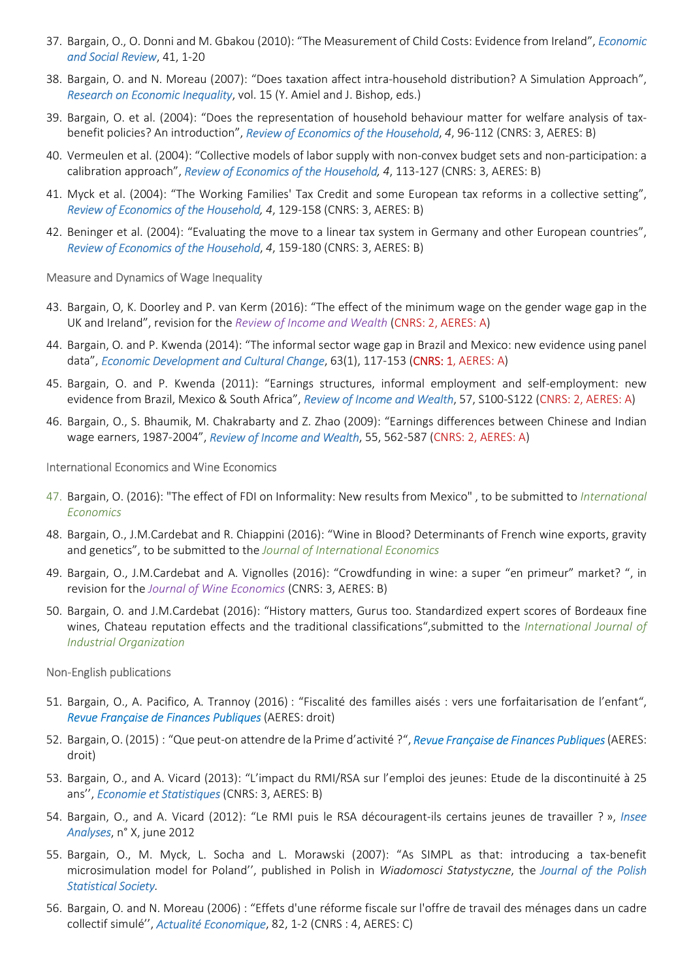- 37. Bargain, O., O. Donni and M. Gbakou (2010): "The Measurement of Child Costs: Evidence from Ireland", Economic and Social Review, 41, 1-20
- 38. Bargain, O. and N. Moreau (2007): "Does taxation affect intra-household distribution? A Simulation Approach", Research on Economic Inequality, vol. 15 (Y. Amiel and J. Bishop, eds.)
- 39. Bargain, O. et al. (2004): "Does the representation of household behaviour matter for welfare analysis of taxbenefit policies? An introduction", Review of Economics of the Household, 4, 96-112 (CNRS: 3, AERES: B)
- 40. Vermeulen et al. (2004): "Collective models of labor supply with non-convex budget sets and non-participation: a calibration approach", Review of Economics of the Household, 4, 113-127 (CNRS: 3, AERES: B)
- 41. Myck et al. (2004): "The Working Families' Tax Credit and some European tax reforms in a collective setting", Review of Economics of the Household, 4, 129-158 (CNRS: 3, AERES: B)
- 42. Beninger et al. (2004): "Evaluating the move to a linear tax system in Germany and other European countries", Review of Economics of the Household, 4, 159-180 (CNRS: 3, AERES: B)

#### Measure and Dynamics of Wage Inequality

- 43. Bargain, O, K. Doorley and P. van Kerm (2016): "The effect of the minimum wage on the gender wage gap in the UK and Ireland", revision for the Review of Income and Wealth (CNRS: 2, AERES: A)
- 44. Bargain, O. and P. Kwenda (2014): "The informal sector wage gap in Brazil and Mexico: new evidence using panel data", Economic Development and Cultural Change, 63(1), 117-153 (CNRS: 1, AERES: A)
- 45. Bargain, O. and P. Kwenda (2011): "Earnings structures, informal employment and self-employment: new evidence from Brazil, Mexico & South Africa", Review of Income and Wealth, 57, S100-S122 (CNRS: 2, AERES: A)
- 46. Bargain, O., S. Bhaumik, M. Chakrabarty and Z. Zhao (2009): "Earnings differences between Chinese and Indian wage earners, 1987-2004", Review of Income and Wealth, 55, 562-587 (CNRS: 2, AERES: A)

#### International Economics and Wine Economics

- 47. Bargain, O. (2016): "The effect of FDI on Informality: New results from Mexico", to be submitted to International **Economics**
- 48. Bargain, O., J.M.Cardebat and R. Chiappini (2016): "Wine in Blood? Determinants of French wine exports, gravity and genetics", to be submitted to the Journal of International Economics
- 49. Bargain, O., J.M.Cardebat and A. Vignolles (2016): "Crowdfunding in wine: a super "en primeur" market? ", in revision for the Journal of Wine Economics (CNRS: 3, AERES: B)
- 50. Bargain, O. and J.M.Cardebat (2016): "History matters, Gurus too. Standardized expert scores of Bordeaux fine wines, Chateau reputation effects and the traditional classifications", submitted to the International Journal of Industrial Organization

#### Non-English publications

- 51. Bargain, O., A. Pacifico, A. Trannoy (2016) : "Fiscalité des familles aisés : vers une forfaitarisation de l'enfant", Revue Française de Finances Publiques (AERES: droit)
- 52. Bargain, O. (2015) : "Que peut-on attendre de la Prime d'activité ?", Revue Française de Finances Publiques (AERES: droit)
- 53. Bargain, O., and A. Vicard (2013): "L'impact du RMI/RSA sur l'emploi des jeunes: Etude de la discontinuité à 25 ans", *Economie et Statistiques* (CNRS: 3, AERES: B)
- 54. Bargain, O., and A. Vicard (2012): "Le RMI puis le RSA découragent-ils certains jeunes de travailler ? », Insee Analyses, n° X, june 2012
- 55. Bargain, O., M. Myck, L. Socha and L. Morawski (2007): "As SIMPL as that: introducing a tax-benefit microsimulation model for Poland", published in Polish in Wiadomosci Statystyczne, the Journal of the Polish Statistical Society.
- 56. Bargain, O. and N. Moreau (2006) : "Effets d'une réforme fiscale sur l'offre de travail des ménages dans un cadre collectif simulé'', Actualité Economique, 82, 1-2 (CNRS : 4, AERES: C)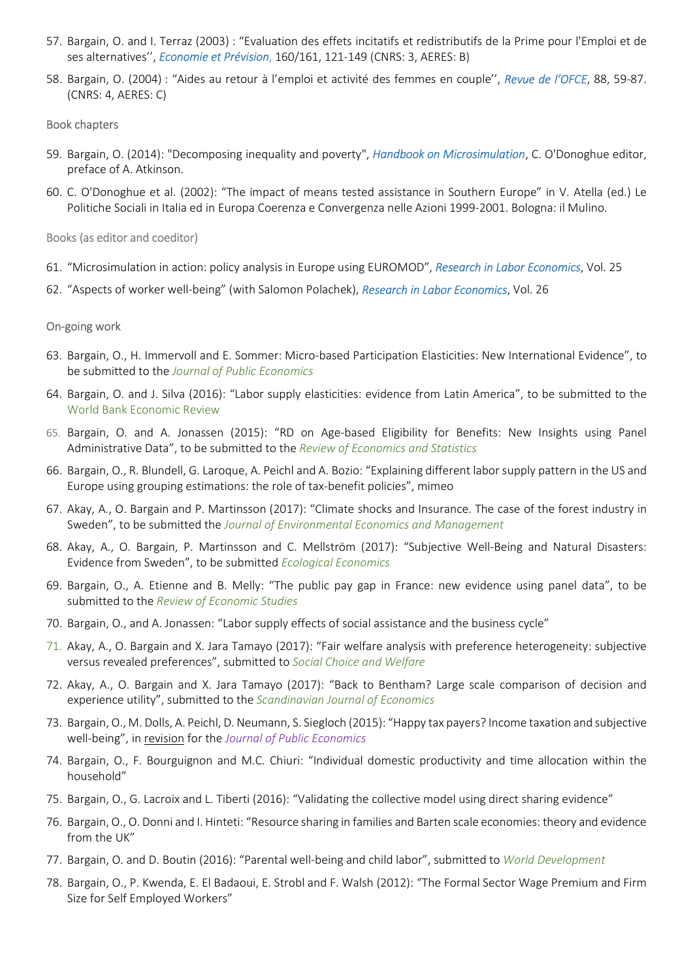- 57. Bargain, O. and I. Terraz (2003) : "Evaluation des effets incitatifs et redistributifs de la Prime pour l'Emploi et de ses alternatives", Economie et Prévision, 160/161, 121-149 (CNRS: 3, AERES: B)
- 58. Bargain, O. (2004) : "Aides au retour à l'emploi et activité des femmes en couple", Revue de l'OFCE, 88, 59-87. (CNRS: 4, AERES: C)

## Book chapters

- 59. Bargain, O. (2014): "Decomposing inequality and poverty", Handbook on Microsimulation, C. O'Donoghue editor, preface of A. Atkinson.
- 60. C. O'Donoghue et al. (2002): "The impact of means tested assistance in Southern Europe" in V. Atella (ed.) Le Politiche Sociali in Italia ed in Europa Coerenza e Convergenza nelle Azioni 1999-2001. Bologna: il Mulino.

Books (as editor and coeditor)

- 61. "Microsimulation in action: policy analysis in Europe using EUROMOD", Research in Labor Economics, Vol. 25
- 62. "Aspects of worker well-being" (with Salomon Polachek), Research in Labor Economics, Vol. 26

## On-going work

- 63. Bargain, O., H. Immervoll and E. Sommer: Micro-based Participation Elasticities: New International Evidence", to be submitted to the Journal of Public Economics
- 64. Bargain, O. and J. Silva (2016): "Labor supply elasticities: evidence from Latin America", to be submitted to the World Bank Economic Review
- 65. Bargain, O. and A. Jonassen (2015): "RD on Age-based Eligibility for Benefits: New Insights using Panel Administrative Data", to be submitted to the Review of Economics and Statistics
- 66. Bargain, O., R. Blundell, G. Laroque, A. Peichl and A. Bozio: "Explaining different labor supply pattern in the US and Europe using grouping estimations: the role of tax-benefit policies", mimeo
- 67. Akay, A., O. Bargain and P. Martinsson (2017): "Climate shocks and Insurance. The case of the forest industry in Sweden", to be submitted the Journal of Environmental Economics and Management
- 68. Akay, A., O. Bargain, P. Martinsson and C. Mellström (2017): "Subjective Well-Being and Natural Disasters: Evidence from Sweden", to be submitted Ecological Economics
- 69. Bargain, O., A. Etienne and B. Melly: "The public pay gap in France: new evidence using panel data", to be submitted to the Review of Economic Studies
- 70. Bargain, O., and A. Jonassen: "Labor supply effects of social assistance and the business cycle"
- 71. Akay, A., O. Bargain and X. Jara Tamayo (2017): "Fair welfare analysis with preference heterogeneity: subjective versus revealed preferences", submitted to Social Choice and Welfare
- 72. Akay, A., O. Bargain and X. Jara Tamayo (2017): "Back to Bentham? Large scale comparison of decision and experience utility", submitted to the Scandinavian Journal of Economics
- 73. Bargain, O., M. Dolls, A. Peichl, D. Neumann, S. Siegloch (2015): "Happy tax payers? Income taxation and subjective well-being", in revision for the Journal of Public Economics
- 74. Bargain, O., F. Bourguignon and M.C. Chiuri: "Individual domestic productivity and time allocation within the household"
- 75. Bargain, O., G. Lacroix and L. Tiberti (2016): "Validating the collective model using direct sharing evidence"
- 76. Bargain, O., O. Donni and I. Hinteti: "Resource sharing in families and Barten scale economies: theory and evidence from the UK"
- 77. Bargain, O. and D. Boutin (2016): "Parental well-being and child labor", submitted to World Development
- 78. Bargain, O., P. Kwenda, E. El Badaoui, E. Strobl and F. Walsh (2012): "The Formal Sector Wage Premium and Firm Size for Self Employed Workers"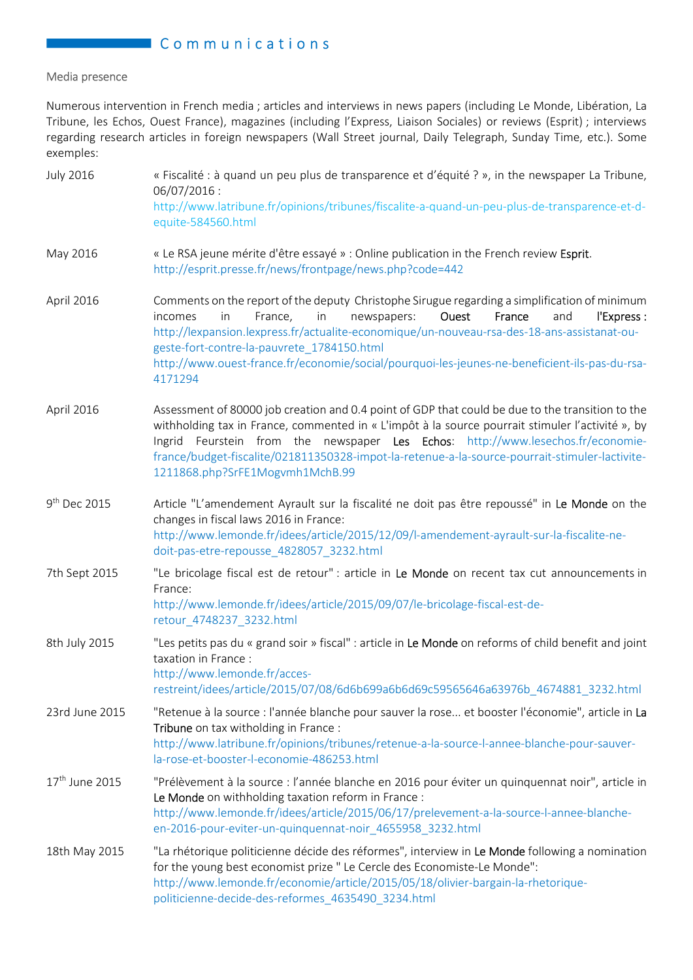## **Communications**

## Media presence

Numerous intervention in French media ; articles and interviews in news papers (including Le Monde, Libération, La Tribune, les Echos, Ouest France), magazines (including l'Express, Liaison Sociales) or reviews (Esprit) ; interviews regarding research articles in foreign newspapers (Wall Street journal, Daily Telegraph, Sunday Time, etc.). Some exemples:

| <b>July 2016</b>           | « Fiscalité : à quand un peu plus de transparence et d'équité ? », in the newspaper La Tribune,<br>06/07/2016:<br>http://www.latribune.fr/opinions/tribunes/fiscalite-a-quand-un-peu-plus-de-transparence-et-d-<br>equite-584560.html                                                                                                                                                                                                            |
|----------------------------|--------------------------------------------------------------------------------------------------------------------------------------------------------------------------------------------------------------------------------------------------------------------------------------------------------------------------------------------------------------------------------------------------------------------------------------------------|
| May 2016                   | « Le RSA jeune mérite d'être essayé » : Online publication in the French review Esprit.<br>http://esprit.presse.fr/news/frontpage/news.php?code=442                                                                                                                                                                                                                                                                                              |
| April 2016                 | Comments on the report of the deputy Christophe Sirugue regarding a simplification of minimum<br>France,<br>in<br>newspapers:<br>Ouest<br>France<br>and<br>l'Express :<br>incomes<br>in<br>http://lexpansion.lexpress.fr/actualite-economique/un-nouveau-rsa-des-18-ans-assistanat-ou-<br>geste-fort-contre-la-pauvrete_1784150.html<br>http://www.ouest-france.fr/economie/social/pourquoi-les-jeunes-ne-beneficient-ils-pas-du-rsa-<br>4171294 |
| April 2016                 | Assessment of 80000 job creation and 0.4 point of GDP that could be due to the transition to the<br>withholding tax in France, commented in « L'impôt à la source pourrait stimuler l'activité », by<br>Ingrid Feurstein from the newspaper Les Echos: http://www.lesechos.fr/economie-<br>france/budget-fiscalite/021811350328-impot-la-retenue-a-la-source-pourrait-stimuler-lactivite-<br>1211868.php?SrFE1Mogvmh1MchB.99                     |
| 9 <sup>th</sup> Dec 2015   | Article "L'amendement Ayrault sur la fiscalité ne doit pas être repoussé" in Le Monde on the<br>changes in fiscal laws 2016 in France:<br>http://www.lemonde.fr/idees/article/2015/12/09/l-amendement-ayrault-sur-la-fiscalite-ne-<br>doit-pas-etre-repousse_4828057_3232.html                                                                                                                                                                   |
| 7th Sept 2015              | "Le bricolage fiscal est de retour" : article in Le Monde on recent tax cut announcements in<br>France:<br>http://www.lemonde.fr/idees/article/2015/09/07/le-bricolage-fiscal-est-de-<br>retour_4748237_3232.html                                                                                                                                                                                                                                |
| 8th July 2015              | "Les petits pas du « grand soir » fiscal" : article in Le Monde on reforms of child benefit and joint<br>taxation in France :<br>http://www.lemonde.fr/acces-<br>restreint/idees/article/2015/07/08/6d6b699a6b6d69c59565646a63976b_4674881_3232.html                                                                                                                                                                                             |
| 23rd June 2015             | "Retenue à la source : l'année blanche pour sauver la rose et booster l'économie", article in La<br>Tribune on tax witholding in France :<br>http://www.latribune.fr/opinions/tribunes/retenue-a-la-source-l-annee-blanche-pour-sauver-<br>la-rose-et-booster-l-economie-486253.html                                                                                                                                                             |
| 17 <sup>th</sup> June 2015 | "Prélèvement à la source : l'année blanche en 2016 pour éviter un quinquennat noir", article in<br>Le Monde on withholding taxation reform in France :<br>http://www.lemonde.fr/idees/article/2015/06/17/prelevement-a-la-source-l-annee-blanche-<br>en-2016-pour-eviter-un-quinquennat-noir_4655958_3232.html                                                                                                                                   |
| 18th May 2015              | "La rhétorique politicienne décide des réformes", interview in Le Monde following a nomination<br>for the young best economist prize " Le Cercle des Economiste-Le Monde":<br>http://www.lemonde.fr/economie/article/2015/05/18/olivier-bargain-la-rhetorique-<br>politicienne-decide-des-reformes_4635490_3234.html                                                                                                                             |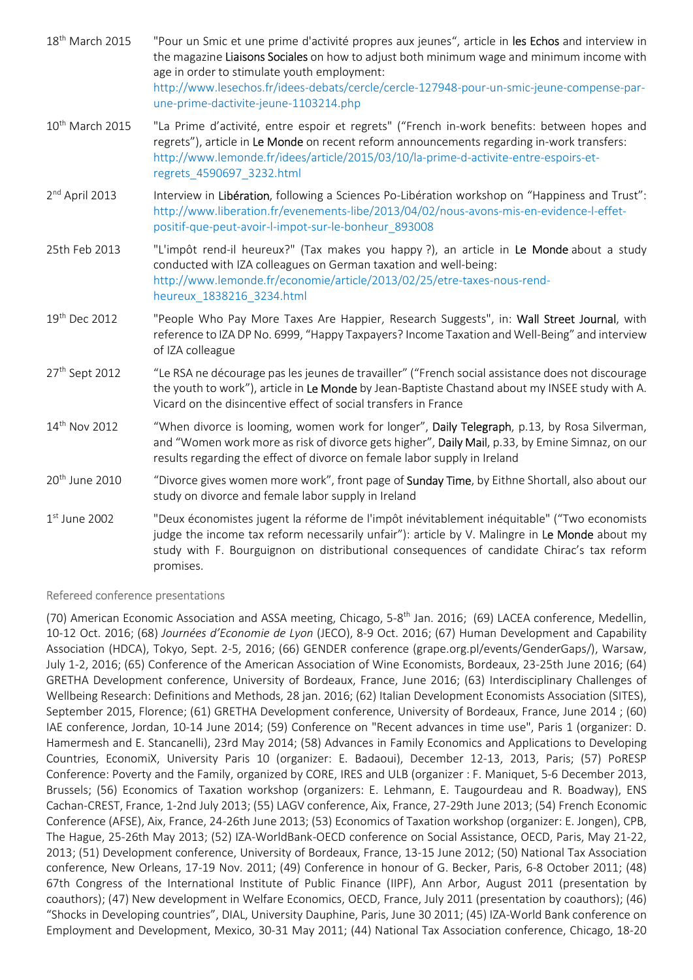| 18 <sup>th</sup> March 2015 | "Pour un Smic et une prime d'activité propres aux jeunes", article in les Echos and interview in<br>the magazine Liaisons Sociales on how to adjust both minimum wage and minimum income with<br>age in order to stimulate youth employment:<br>http://www.lesechos.fr/idees-debats/cercle/cercle-127948-pour-un-smic-jeune-compense-par-<br>une-prime-dactivite-jeune-1103214.php |
|-----------------------------|------------------------------------------------------------------------------------------------------------------------------------------------------------------------------------------------------------------------------------------------------------------------------------------------------------------------------------------------------------------------------------|
| 10 <sup>th</sup> March 2015 | "La Prime d'activité, entre espoir et regrets" ("French in-work benefits: between hopes and<br>regrets"), article in Le Monde on recent reform announcements regarding in-work transfers:<br>http://www.lemonde.fr/idees/article/2015/03/10/la-prime-d-activite-entre-espoirs-et-<br>regrets_4590697_3232.html                                                                     |
| 2 <sup>nd</sup> April 2013  | Interview in Libération, following a Sciences Po-Libération workshop on "Happiness and Trust":<br>http://www.liberation.fr/evenements-libe/2013/04/02/nous-avons-mis-en-evidence-l-effet-<br>positif-que-peut-avoir-l-impot-sur-le-bonheur_893008                                                                                                                                  |
| 25th Feb 2013               | "L'impôt rend-il heureux?" (Tax makes you happy?), an article in Le Monde about a study<br>conducted with IZA colleagues on German taxation and well-being:<br>http://www.lemonde.fr/economie/article/2013/02/25/etre-taxes-nous-rend-<br>heureux_1838216_3234.html                                                                                                                |
| 19th Dec 2012               | "People Who Pay More Taxes Are Happier, Research Suggests", in: Wall Street Journal, with<br>reference to IZA DP No. 6999, "Happy Taxpayers? Income Taxation and Well-Being" and interview<br>of IZA colleague                                                                                                                                                                     |
| 27 <sup>th</sup> Sept 2012  | "Le RSA ne décourage pas les jeunes de travailler" ("French social assistance does not discourage<br>the youth to work"), article in Le Monde by Jean-Baptiste Chastand about my INSEE study with A.<br>Vicard on the disincentive effect of social transfers in France                                                                                                            |
| 14th Nov 2012               | "When divorce is looming, women work for longer", Daily Telegraph, p.13, by Rosa Silverman,<br>and "Women work more as risk of divorce gets higher", Daily Mail, p.33, by Emine Simnaz, on our<br>results regarding the effect of divorce on female labor supply in Ireland                                                                                                        |
| 20 <sup>th</sup> June 2010  | "Divorce gives women more work", front page of Sunday Time, by Eithne Shortall, also about our<br>study on divorce and female labor supply in Ireland                                                                                                                                                                                                                              |
| $1st$ June 2002             | "Deux économistes jugent la réforme de l'impôt inévitablement inéquitable" ("Two economists<br>judge the income tax reform necessarily unfair"): article by V. Malingre in Le Monde about my<br>study with F. Bourguignon on distributional consequences of candidate Chirac's tax reform<br>promises.                                                                             |

## Refereed conference presentations

(70) American Economic Association and ASSA meeting, Chicago, 5-8<sup>th</sup> Jan. 2016; (69) LACEA conference, Medellin, 10-12 Oct. 2016; (68) Journées d'Economie de Lyon (JECO), 8-9 Oct. 2016; (67) Human Development and Capability Association (HDCA), Tokyo, Sept. 2-5, 2016; (66) GENDER conference (grape.org.pl/events/GenderGaps/), Warsaw, July 1-2, 2016; (65) Conference of the American Association of Wine Economists, Bordeaux, 23-25th June 2016; (64) GRETHA Development conference, University of Bordeaux, France, June 2016; (63) Interdisciplinary Challenges of Wellbeing Research: Definitions and Methods, 28 jan. 2016; (62) Italian Development Economists Association (SITES), September 2015, Florence; (61) GRETHA Development conference, University of Bordeaux, France, June 2014 ; (60) IAE conference, Jordan, 10-14 June 2014; (59) Conference on "Recent advances in time use", Paris 1 (organizer: D. Hamermesh and E. Stancanelli), 23rd May 2014; (58) Advances in Family Economics and Applications to Developing Countries, EconomiX, University Paris 10 (organizer: E. Badaoui), December 12-13, 2013, Paris; (57) PoRESP Conference: Poverty and the Family, organized by CORE, IRES and ULB (organizer : F. Maniquet, 5-6 December 2013, Brussels; (56) Economics of Taxation workshop (organizers: E. Lehmann, E. Taugourdeau and R. Boadway), ENS Cachan-CREST, France, 1-2nd July 2013; (55) LAGV conference, Aix, France, 27-29th June 2013; (54) French Economic Conference (AFSE), Aix, France, 24-26th June 2013; (53) Economics of Taxation workshop (organizer: E. Jongen), CPB, The Hague, 25-26th May 2013; (52) IZA-WorldBank-OECD conference on Social Assistance, OECD, Paris, May 21-22, 2013; (51) Development conference, University of Bordeaux, France, 13-15 June 2012; (50) National Tax Association conference, New Orleans, 17-19 Nov. 2011; (49) Conference in honour of G. Becker, Paris, 6-8 October 2011; (48) 67th Congress of the International Institute of Public Finance (IIPF), Ann Arbor, August 2011 (presentation by coauthors); (47) New development in Welfare Economics, OECD, France, July 2011 (presentation by coauthors); (46) "Shocks in Developing countries", DIAL, University Dauphine, Paris, June 30 2011; (45) IZA-World Bank conference on Employment and Development, Mexico, 30-31 May 2011; (44) National Tax Association conference, Chicago, 18-20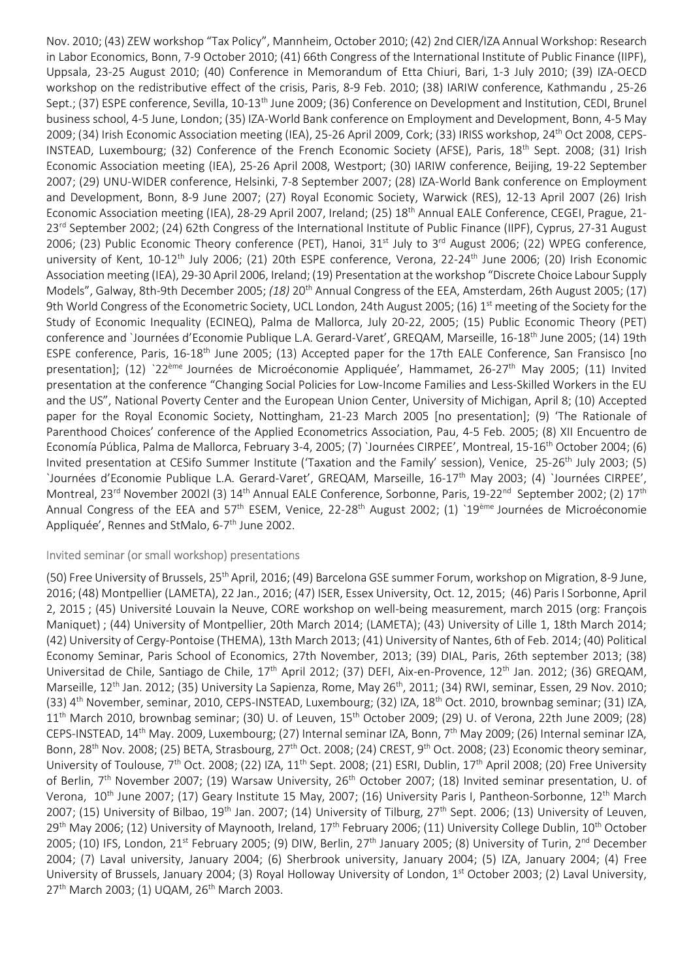Nov. 2010; (43) ZEW workshop "Tax Policy", Mannheim, October 2010; (42) 2nd CIER/IZA Annual Workshop: Research in Labor Economics, Bonn, 7-9 October 2010; (41) 66th Congress of the International Institute of Public Finance (IIPF), Uppsala, 23-25 August 2010; (40) Conference in Memorandum of Etta Chiuri, Bari, 1-3 July 2010; (39) IZA-OECD workshop on the redistributive effect of the crisis, Paris, 8-9 Feb. 2010; (38) IARIW conference, Kathmandu , 25-26 Sept.; (37) ESPE conference, Sevilla, 10-13<sup>th</sup> June 2009; (36) Conference on Development and Institution, CEDI, Brunel business school, 4-5 June, London; (35) IZA-World Bank conference on Employment and Development, Bonn, 4-5 May 2009; (34) Irish Economic Association meeting (IEA), 25-26 April 2009, Cork; (33) IRISS workshop, 24<sup>th</sup> Oct 2008, CEPS-INSTEAD, Luxembourg; (32) Conference of the French Economic Society (AFSE), Paris, 18th Sept. 2008; (31) Irish Economic Association meeting (IEA), 25-26 April 2008, Westport; (30) IARIW conference, Beijing, 19-22 September 2007; (29) UNU-WIDER conference, Helsinki, 7-8 September 2007; (28) IZA-World Bank conference on Employment and Development, Bonn, 8-9 June 2007; (27) Royal Economic Society, Warwick (RES), 12-13 April 2007 (26) Irish Economic Association meeting (IEA), 28-29 April 2007, Ireland; (25) 18<sup>th</sup> Annual EALE Conference, CEGEI, Prague, 21-23<sup>rd</sup> September 2002; (24) 62th Congress of the International Institute of Public Finance (IIPF), Cyprus, 27-31 August 2006; (23) Public Economic Theory conference (PET), Hanoi, 31<sup>st</sup> July to 3<sup>rd</sup> August 2006; (22) WPEG conference, university of Kent, 10-12<sup>th</sup> July 2006; (21) 20th ESPE conference, Verona, 22-24<sup>th</sup> June 2006; (20) Irish Economic Association meeting (IEA), 29-30 April 2006, Ireland; (19) Presentation at the workshop "Discrete Choice Labour Supply Models", Galway, 8th-9th December 2005; (18) 20<sup>th</sup> Annual Congress of the EEA, Amsterdam, 26th August 2005; (17) 9th World Congress of the Econometric Society, UCL London, 24th August 2005; (16) 1<sup>st</sup> meeting of the Society for the Study of Economic Inequality (ECINEQ), Palma de Mallorca, July 20-22, 2005; (15) Public Economic Theory (PET) conference and `Journées d'Economie Publique L.A. Gerard-Varet', GREQAM, Marseille, 16-18<sup>th</sup> June 2005; (14) 19th ESPE conference, Paris, 16-18<sup>th</sup> June 2005; (13) Accepted paper for the 17th EALE Conference, San Fransisco [no presentation]; (12) `22<sup>ème</sup> Journées de Microéconomie Appliquée', Hammamet, 26-27<sup>th</sup> May 2005; (11) Invited presentation at the conference "Changing Social Policies for Low-Income Families and Less-Skilled Workers in the EU and the US", National Poverty Center and the European Union Center, University of Michigan, April 8; (10) Accepted paper for the Royal Economic Society, Nottingham, 21-23 March 2005 [no presentation]; (9) 'The Rationale of Parenthood Choices' conference of the Applied Econometrics Association, Pau, 4-5 Feb. 2005; (8) XII Encuentro de Economía Pública, Palma de Mallorca, February 3-4, 2005; (7) `Journées CIRPEE', Montreal, 15-16th October 2004; (6) Invited presentation at CESifo Summer Institute ('Taxation and the Family' session), Venice, 25-26<sup>th</sup> July 2003; (5) `Journées d'Economie Publique L.A. Gerard-Varet', GREQAM, Marseille, 16-17th May 2003; (4) `Journées CIRPEE', Montreal, 23<sup>rd</sup> November 2002l (3) 14<sup>th</sup> Annual EALE Conference, Sorbonne, Paris, 19-22<sup>nd</sup> September 2002; (2) 17<sup>th</sup> Annual Congress of the EEA and 57<sup>th</sup> ESEM, Venice, 22-28<sup>th</sup> August 2002; (1) `19<sup>ème</sup> Journées de Microéconomie Appliquée', Rennes and StMalo, 6-7<sup>th</sup> June 2002.

## Invited seminar (or small workshop) presentations

(50) Free University of Brussels, 25<sup>th</sup> April, 2016; (49) Barcelona GSE summer Forum, workshop on Migration, 8-9 June, 2016; (48) Montpellier (LAMETA), 22 Jan., 2016; (47) ISER, Essex University, Oct. 12, 2015; (46) Paris I Sorbonne, April 2, 2015 ; (45) Université Louvain la Neuve, CORE workshop on well-being measurement, march 2015 (org: François Maniquet) ; (44) University of Montpellier, 20th March 2014; (LAMETA); (43) University of Lille 1, 18th March 2014; (42) University of Cergy-Pontoise (THEMA), 13th March 2013; (41) University of Nantes, 6th of Feb. 2014; (40) Political Economy Seminar, Paris School of Economics, 27th November, 2013; (39) DIAL, Paris, 26th september 2013; (38) Universitad de Chile, Santiago de Chile, 17<sup>th</sup> April 2012; (37) DEFI, Aix-en-Provence, 12<sup>th</sup> Jan. 2012; (36) GREQAM, Marseille, 12<sup>th</sup> Jan. 2012; (35) University La Sapienza, Rome, May 26<sup>th</sup>, 2011; (34) RWI, seminar, Essen, 29 Nov. 2010; (33)  $4<sup>th</sup>$  November, seminar, 2010, CEPS-INSTEAD, Luxembourg; (32) IZA,  $18<sup>th</sup>$  Oct. 2010, brownbag seminar; (31) IZA, 11<sup>th</sup> March 2010, brownbag seminar; (30) U. of Leuven, 15<sup>th</sup> October 2009; (29) U. of Verona, 22th June 2009; (28) CEPS-INSTEAD, 14<sup>th</sup> May. 2009, Luxembourg; (27) Internal seminar IZA, Bonn, 7<sup>th</sup> May 2009; (26) Internal seminar IZA, Bonn, 28<sup>th</sup> Nov. 2008; (25) BETA, Strasbourg, 27<sup>th</sup> Oct. 2008; (24) CREST, 9<sup>th</sup> Oct. 2008; (23) Economic theory seminar, University of Toulouse, 7th Oct. 2008; (22) IZA, 11th Sept. 2008; (21) ESRI, Dublin, 17th April 2008; (20) Free University of Berlin, 7<sup>th</sup> November 2007; (19) Warsaw University, 26<sup>th</sup> October 2007; (18) Invited seminar presentation, U. of Verona, 10<sup>th</sup> June 2007; (17) Geary Institute 15 May, 2007; (16) University Paris I, Pantheon-Sorbonne, 12<sup>th</sup> March 2007; (15) University of Bilbao,  $19^{th}$  Jan. 2007; (14) University of Tilburg,  $27^{th}$  Sept. 2006; (13) University of Leuven, 29<sup>th</sup> May 2006; (12) University of Maynooth, Ireland,  $17^{th}$  February 2006; (11) University College Dublin,  $10^{th}$  October 2005; (10) IFS, London, 21<sup>st</sup> February 2005; (9) DIW, Berlin, 27<sup>th</sup> January 2005; (8) University of Turin, 2<sup>nd</sup> December 2004; (7) Laval university, January 2004; (6) Sherbrook university, January 2004; (5) IZA, January 2004; (4) Free University of Brussels, January 2004; (3) Royal Holloway University of London, 1<sup>st</sup> October 2003; (2) Laval University, 27<sup>th</sup> March 2003; (1) UQAM, 26<sup>th</sup> March 2003.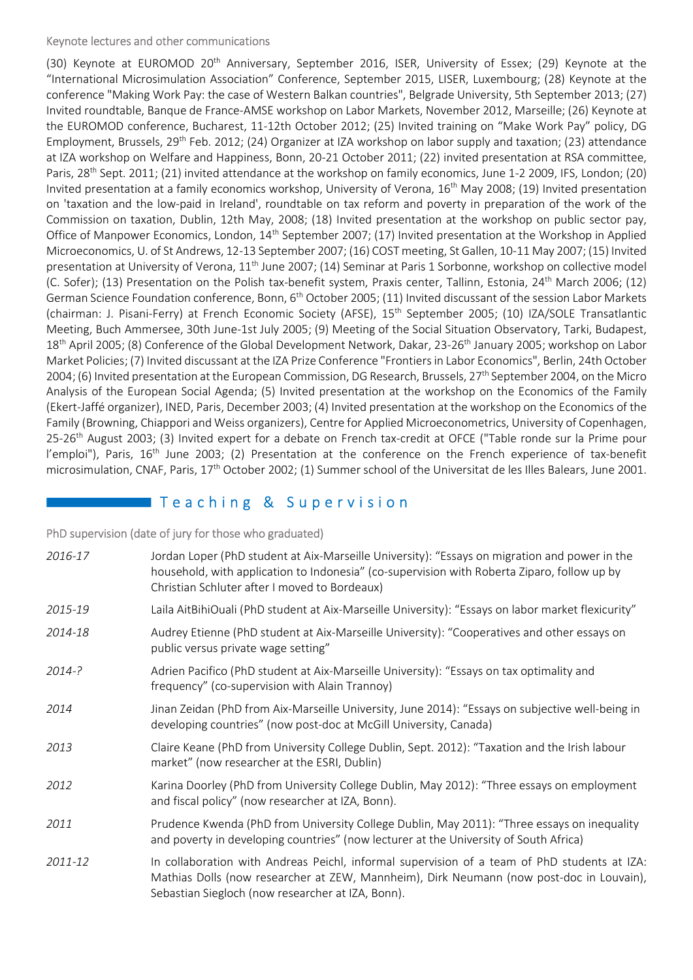## Keynote lectures and other communications

(30) Keynote at EUROMOD 20<sup>th</sup> Anniversary, September 2016, ISER, University of Essex; (29) Keynote at the "International Microsimulation Association" Conference, September 2015, LISER, Luxembourg; (28) Keynote at the conference "Making Work Pay: the case of Western Balkan countries", Belgrade University, 5th September 2013; (27) Invited roundtable, Banque de France-AMSE workshop on Labor Markets, November 2012, Marseille; (26) Keynote at the EUROMOD conference, Bucharest, 11-12th October 2012; (25) Invited training on "Make Work Pay" policy, DG Employment, Brussels, 29<sup>th</sup> Feb. 2012; (24) Organizer at IZA workshop on labor supply and taxation; (23) attendance at IZA workshop on Welfare and Happiness, Bonn, 20-21 October 2011; (22) invited presentation at RSA committee, Paris, 28<sup>th</sup> Sept. 2011; (21) invited attendance at the workshop on family economics, June 1-2 2009, IFS, London; (20) Invited presentation at a family economics workshop, University of Verona, 16<sup>th</sup> May 2008; (19) Invited presentation on 'taxation and the low-paid in Ireland', roundtable on tax reform and poverty in preparation of the work of the Commission on taxation, Dublin, 12th May, 2008; (18) Invited presentation at the workshop on public sector pay, Office of Manpower Economics, London, 14<sup>th</sup> September 2007; (17) Invited presentation at the Workshop in Applied Microeconomics, U. of St Andrews, 12-13 September 2007; (16) COST meeting, St Gallen, 10-11 May 2007; (15) Invited presentation at University of Verona, 11<sup>th</sup> June 2007; (14) Seminar at Paris 1 Sorbonne, workshop on collective model (C. Sofer); (13) Presentation on the Polish tax-benefit system, Praxis center, Tallinn, Estonia, 24<sup>th</sup> March 2006; (12) German Science Foundation conference, Bonn, 6<sup>th</sup> October 2005; (11) Invited discussant of the session Labor Markets (chairman: J. Pisani-Ferry) at French Economic Society (AFSE), 15<sup>th</sup> September 2005; (10) IZA/SOLE Transatlantic Meeting, Buch Ammersee, 30th June-1st July 2005; (9) Meeting of the Social Situation Observatory, Tarki, Budapest, 18<sup>th</sup> April 2005; (8) Conference of the Global Development Network, Dakar, 23-26<sup>th</sup> January 2005; workshop on Labor Market Policies; (7) Invited discussant at the IZA Prize Conference "Frontiers in Labor Economics", Berlin, 24th October 2004; (6) Invited presentation at the European Commission, DG Research, Brussels, 27<sup>th</sup> September 2004, on the Micro Analysis of the European Social Agenda; (5) Invited presentation at the workshop on the Economics of the Family (Ekert-Jaffé organizer), INED, Paris, December 2003; (4) Invited presentation at the workshop on the Economics of the Family (Browning, Chiappori and Weiss organizers), Centre for Applied Microeconometrics, University of Copenhagen, 25-26<sup>th</sup> August 2003; (3) Invited expert for a debate on French tax-credit at OFCE ("Table ronde sur la Prime pour l'emploi"), Paris, 16<sup>th</sup> June 2003; (2) Presentation at the conference on the French experience of tax-benefit microsimulation, CNAF, Paris, 17<sup>th</sup> October 2002; (1) Summer school of the Universitat de les Illes Balears, June 2001.

# Teaching & Supervision

PhD supervision (date of jury for those who graduated)

| 2016-17    | Jordan Loper (PhD student at Aix-Marseille University): "Essays on migration and power in the<br>household, with application to Indonesia" (co-supervision with Roberta Ziparo, follow up by<br>Christian Schluter after I moved to Bordeaux) |
|------------|-----------------------------------------------------------------------------------------------------------------------------------------------------------------------------------------------------------------------------------------------|
| 2015-19    | Laila AitBihiOuali (PhD student at Aix-Marseille University): "Essays on labor market flexicurity"                                                                                                                                            |
| 2014-18    | Audrey Etienne (PhD student at Aix-Marseille University): "Cooperatives and other essays on<br>public versus private wage setting"                                                                                                            |
| $2014 - ?$ | Adrien Pacifico (PhD student at Aix-Marseille University): "Essays on tax optimality and<br>frequency" (co-supervision with Alain Trannoy)                                                                                                    |
| 2014       | Jinan Zeidan (PhD from Aix-Marseille University, June 2014): "Essays on subjective well-being in<br>developing countries" (now post-doc at McGill University, Canada)                                                                         |
| 2013       | Claire Keane (PhD from University College Dublin, Sept. 2012): "Taxation and the Irish labour<br>market" (now researcher at the ESRI, Dublin)                                                                                                 |
| 2012       | Karina Doorley (PhD from University College Dublin, May 2012): "Three essays on employment<br>and fiscal policy" (now researcher at IZA, Bonn).                                                                                               |
| 2011       | Prudence Kwenda (PhD from University College Dublin, May 2011): "Three essays on inequality<br>and poverty in developing countries" (now lecturer at the University of South Africa)                                                          |
| 2011-12    | In collaboration with Andreas Peichl, informal supervision of a team of PhD students at IZA:<br>Mathias Dolls (now researcher at ZEW, Mannheim), Dirk Neumann (now post-doc in Louvain),<br>Sebastian Siegloch (now researcher at IZA, Bonn). |
|            |                                                                                                                                                                                                                                               |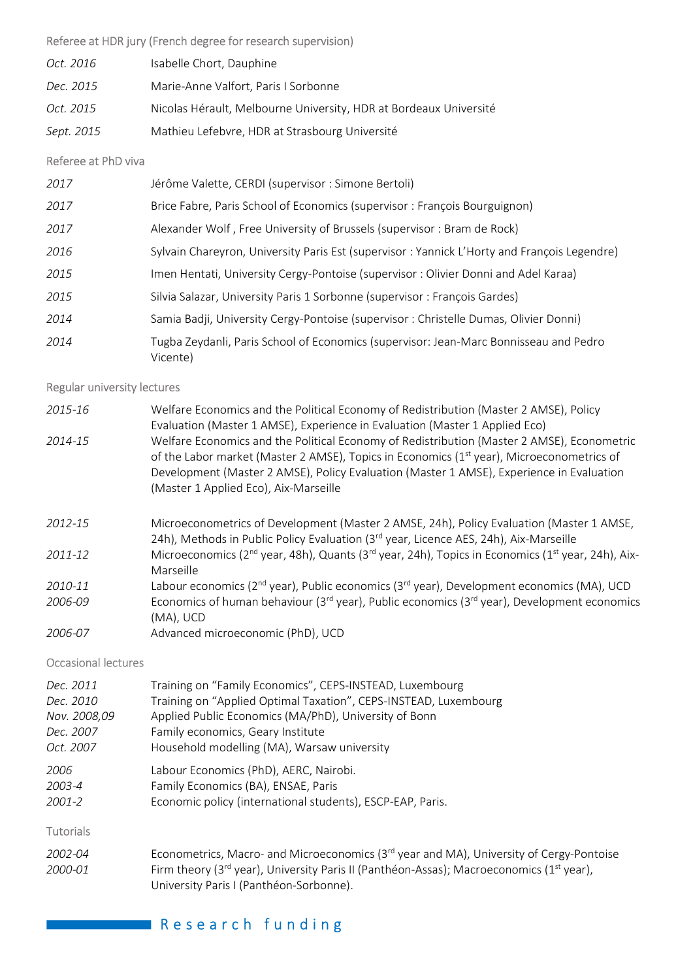## Referee at HDR jury (French degree for research supervision)

| Oct. 2016  | Isabelle Chort, Dauphine                                          |
|------------|-------------------------------------------------------------------|
| Dec. 2015  | Marie-Anne Valfort, Paris I Sorbonne                              |
| Oct. 2015  | Nicolas Hérault, Melbourne University, HDR at Bordeaux Université |
| Sept. 2015 | Mathieu Lefebvre, HDR at Strasbourg Université                    |

## Referee at PhD viva

| 2017 | Jérôme Valette, CERDI (supervisor : Simone Bertoli)                                               |
|------|---------------------------------------------------------------------------------------------------|
| 2017 | Brice Fabre, Paris School of Economics (supervisor: François Bourguignon)                         |
| 2017 | Alexander Wolf, Free University of Brussels (supervisor: Bram de Rock)                            |
| 2016 | Sylvain Chareyron, University Paris Est (supervisor: Yannick L'Horty and François Legendre)       |
| 2015 | Imen Hentati, University Cergy-Pontoise (supervisor: Olivier Donni and Adel Karaa)                |
| 2015 | Silvia Salazar, University Paris 1 Sorbonne (supervisor: François Gardes)                         |
| 2014 | Samia Badji, University Cergy-Pontoise (supervisor : Christelle Dumas, Olivier Donni)             |
| 2014 | Tugba Zeydanli, Paris School of Economics (supervisor: Jean-Marc Bonnisseau and Pedro<br>Vicente) |

## Regular university lectures

| 2015-16                                                             | Welfare Economics and the Political Economy of Redistribution (Master 2 AMSE), Policy<br>Evaluation (Master 1 AMSE), Experience in Evaluation (Master 1 Applied Eco)                                                                                                                                                                     |
|---------------------------------------------------------------------|------------------------------------------------------------------------------------------------------------------------------------------------------------------------------------------------------------------------------------------------------------------------------------------------------------------------------------------|
| 2014-15                                                             | Welfare Economics and the Political Economy of Redistribution (Master 2 AMSE), Econometric<br>of the Labor market (Master 2 AMSE), Topics in Economics (1 <sup>st</sup> year), Microeconometrics of<br>Development (Master 2 AMSE), Policy Evaluation (Master 1 AMSE), Experience in Evaluation<br>(Master 1 Applied Eco), Aix-Marseille |
| 2012-15                                                             | Microeconometrics of Development (Master 2 AMSE, 24h), Policy Evaluation (Master 1 AMSE,<br>24h), Methods in Public Policy Evaluation (3rd year, Licence AES, 24h), Aix-Marseille                                                                                                                                                        |
| 2011-12                                                             | Microeconomics ( $2^{nd}$ year, 48h), Quants ( $3^{rd}$ year, 24h), Topics in Economics ( $1^{st}$ year, 24h), Aix-<br>Marseille                                                                                                                                                                                                         |
| 2010-11                                                             | Labour economics (2 <sup>nd</sup> year), Public economics (3 <sup>rd</sup> year), Development economics (MA), UCD                                                                                                                                                                                                                        |
| $\mathbf{a} \mathbf{a} \mathbf{a} \mathbf{a} \mathbf{a} \mathbf{a}$ |                                                                                                                                                                                                                                                                                                                                          |

- 2006-09 Economics of human behaviour ( $3^{rd}$  year), Public economics ( $3^{rd}$  year), Development economics (MA), UCD
- 2006-07 Advanced microeconomic (PhD), UCD

Occasional lectures

| Dec. 2011        | Training on "Family Economics", CEPS-INSTEAD, Luxembourg                                                                                                    |
|------------------|-------------------------------------------------------------------------------------------------------------------------------------------------------------|
| Dec. 2010        | Training on "Applied Optimal Taxation", CEPS-INSTEAD, Luxembourg                                                                                            |
| Nov. 2008,09     | Applied Public Economics (MA/PhD), University of Bonn                                                                                                       |
| Dec. 2007        | Family economics, Geary Institute                                                                                                                           |
| Oct. 2007        | Household modelling (MA), Warsaw university                                                                                                                 |
| 2006             | Labour Economics (PhD), AERC, Nairobi.                                                                                                                      |
| 2003-4           | Family Economics (BA), ENSAE, Paris                                                                                                                         |
| 2001-2           | Economic policy (international students), ESCP-EAP, Paris.                                                                                                  |
| <b>Tutorials</b> |                                                                                                                                                             |
| 2002-04          | Econometrics, Macro- and Microeconomics ( $3rd$ year and MA), University of Cergy-Pontoise                                                                  |
| 2000-01          | Firm theory (3 <sup>rd</sup> year), University Paris II (Panthéon-Assas); Macroeconomics (1 <sup>st</sup> year),<br>University Paris I (Panthéon-Sorbonne). |

# Research funding